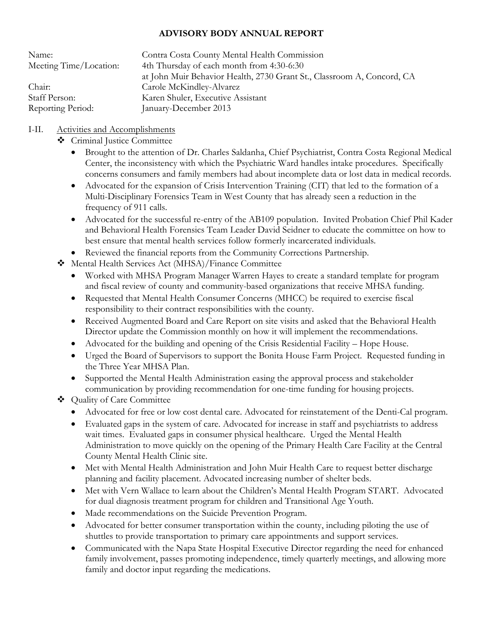## **ADVISORY BODY ANNUAL REPORT**

| Name:<br>Meeting Time/Location: | Contra Costa County Mental Health Commission<br>4th Thursday of each month from 4:30-6:30 |
|---------------------------------|-------------------------------------------------------------------------------------------|
|                                 | at John Muir Behavior Health, 2730 Grant St., Classroom A, Concord, CA                    |
| Chair:                          | Carole McKindley-Alvarez                                                                  |
| Staff Person:                   | Karen Shuler, Executive Assistant                                                         |
| Reporting Period:               | January-December 2013                                                                     |

# I-II. Activities and Accomplishments

- Criminal Justice Committee
	- Brought to the attention of Dr. Charles Saldanha, Chief Psychiatrist, Contra Costa Regional Medical Center, the inconsistency with which the Psychiatric Ward handles intake procedures. Specifically concerns consumers and family members had about incomplete data or lost data in medical records.
	- Advocated for the expansion of Crisis Intervention Training (CIT) that led to the formation of a Multi-Disciplinary Forensics Team in West County that has already seen a reduction in the frequency of 911 calls.
	- Advocated for the successful re-entry of the AB109 population. Invited Probation Chief Phil Kader and Behavioral Health Forensics Team Leader David Seidner to educate the committee on how to best ensure that mental health services follow formerly incarcerated individuals.
	- Reviewed the financial reports from the Community Corrections Partnership.
- Mental Health Services Act (MHSA)/Finance Committee
	- Worked with MHSA Program Manager Warren Hayes to create a standard template for program and fiscal review of county and community-based organizations that receive MHSA funding.
	- Requested that Mental Health Consumer Concerns (MHCC) be required to exercise fiscal responsibility to their contract responsibilities with the county.
	- Received Augmented Board and Care Report on site visits and asked that the Behavioral Health Director update the Commission monthly on how it will implement the recommendations.
	- Advocated for the building and opening of the Crisis Residential Facility Hope House.
	- Urged the Board of Supervisors to support the Bonita House Farm Project. Requested funding in the Three Year MHSA Plan.
	- Supported the Mental Health Administration easing the approval process and stakeholder communication by providing recommendation for one-time funding for housing projects.
- Quality of Care Committee
	- Advocated for free or low cost dental care. Advocated for reinstatement of the Denti-Cal program.
	- Evaluated gaps in the system of care. Advocated for increase in staff and psychiatrists to address wait times. Evaluated gaps in consumer physical healthcare. Urged the Mental Health Administration to move quickly on the opening of the Primary Health Care Facility at the Central County Mental Health Clinic site.
	- Met with Mental Health Administration and John Muir Health Care to request better discharge planning and facility placement. Advocated increasing number of shelter beds.
	- Met with Vern Wallace to learn about the Children's Mental Health Program START. Advocated for dual diagnosis treatment program for children and Transitional Age Youth.
	- Made recommendations on the Suicide Prevention Program.
	- Advocated for better consumer transportation within the county, including piloting the use of shuttles to provide transportation to primary care appointments and support services.
	- Communicated with the Napa State Hospital Executive Director regarding the need for enhanced family involvement, passes promoting independence, timely quarterly meetings, and allowing more family and doctor input regarding the medications.